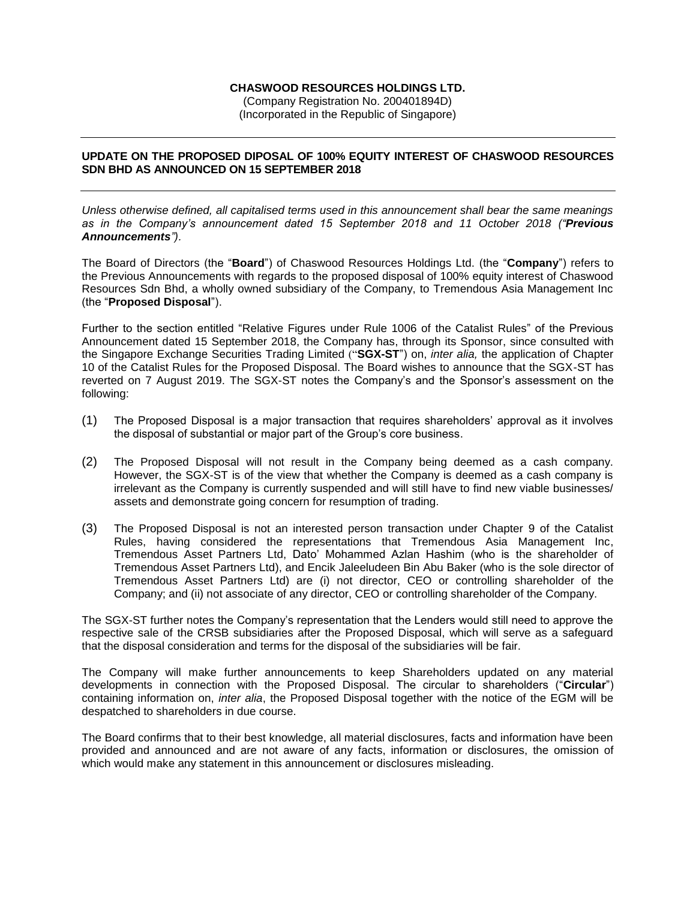## **CHASWOOD RESOURCES HOLDINGS LTD.**

(Company Registration No. 200401894D) (Incorporated in the Republic of Singapore)

## **UPDATE ON THE PROPOSED DIPOSAL OF 100% EQUITY INTEREST OF CHASWOOD RESOURCES SDN BHD AS ANNOUNCED ON 15 SEPTEMBER 2018**

*Unless otherwise defined, all capitalised terms used in this announcement shall bear the same meanings as in the Company's announcement dated 15 September 2018 and 11 October 2018 ("Previous Announcements").*

The Board of Directors (the "**Board**") of Chaswood Resources Holdings Ltd. (the "**Company**") refers to the Previous Announcements with regards to the proposed disposal of 100% equity interest of Chaswood Resources Sdn Bhd, a wholly owned subsidiary of the Company, to Tremendous Asia Management Inc (the "**Proposed Disposal**").

Further to the section entitled "Relative Figures under Rule 1006 of the Catalist Rules" of the Previous Announcement dated 15 September 2018, the Company has, through its Sponsor, since consulted with the Singapore Exchange Securities Trading Limited ("**SGX-ST**") on, *inter alia,* the application of Chapter 10 of the Catalist Rules for the Proposed Disposal. The Board wishes to announce that the SGX-ST has reverted on 7 August 2019. The SGX-ST notes the Company's and the Sponsor's assessment on the following:

- (1) The Proposed Disposal is a major transaction that requires shareholders' approval as it involves the disposal of substantial or major part of the Group's core business.
- (2) The Proposed Disposal will not result in the Company being deemed as a cash company. However, the SGX-ST is of the view that whether the Company is deemed as a cash company is irrelevant as the Company is currently suspended and will still have to find new viable businesses/ assets and demonstrate going concern for resumption of trading.
- (3) The Proposed Disposal is not an interested person transaction under Chapter 9 of the Catalist Rules, having considered the representations that Tremendous Asia Management Inc, Tremendous Asset Partners Ltd, Dato' Mohammed Azlan Hashim (who is the shareholder of Tremendous Asset Partners Ltd), and Encik Jaleeludeen Bin Abu Baker (who is the sole director of Tremendous Asset Partners Ltd) are (i) not director, CEO or controlling shareholder of the Company; and (ii) not associate of any director, CEO or controlling shareholder of the Company.

The SGX-ST further notes the Company's representation that the Lenders would still need to approve the respective sale of the CRSB subsidiaries after the Proposed Disposal, which will serve as a safeguard that the disposal consideration and terms for the disposal of the subsidiaries will be fair.

The Company will make further announcements to keep Shareholders updated on any material developments in connection with the Proposed Disposal. The circular to shareholders ("**Circular**") containing information on, *inter alia*, the Proposed Disposal together with the notice of the EGM will be despatched to shareholders in due course.

The Board confirms that to their best knowledge, all material disclosures, facts and information have been provided and announced and are not aware of any facts, information or disclosures, the omission of which would make any statement in this announcement or disclosures misleading.